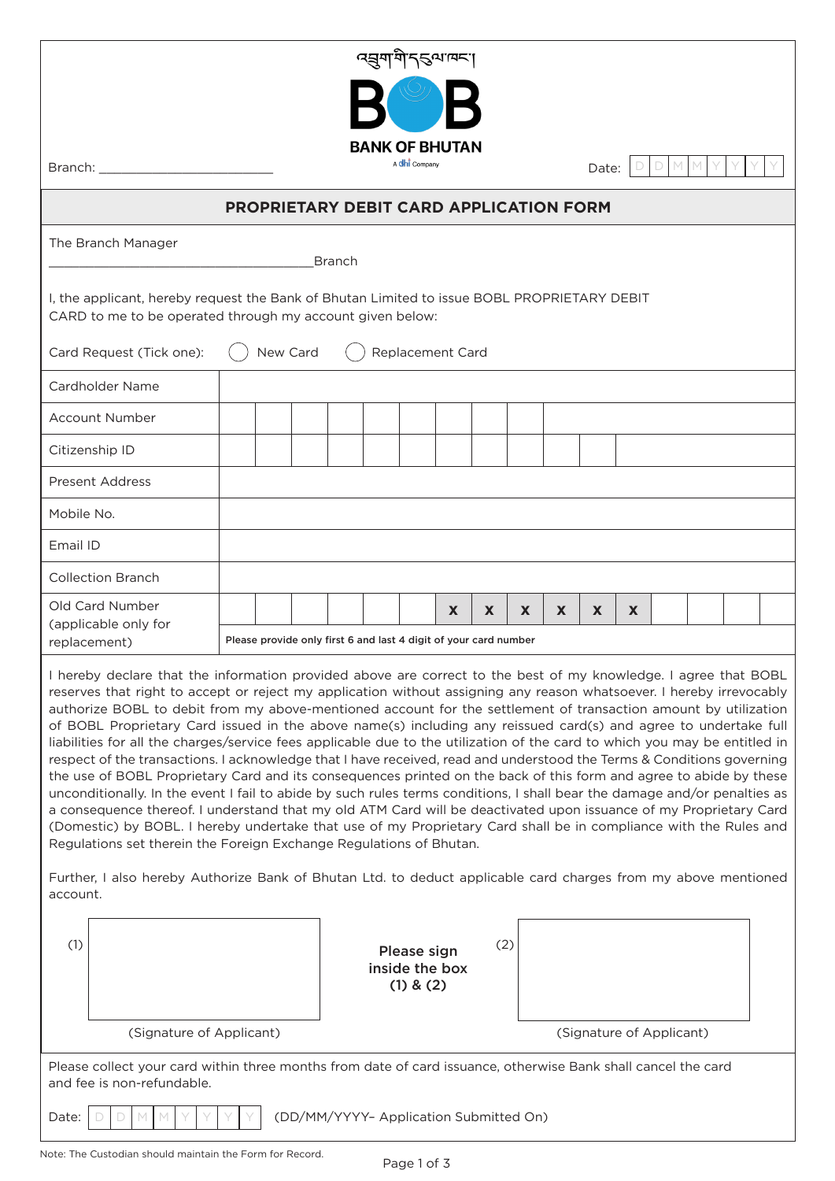| <u>द्धयांयोऽट्यावर</u> ा                                                                                                                                                                                                                                                                                                                                                                                                                                                                                                                                                                                                                                                                                                                                                                                                                                                                                                                                                                                                                                                                                                                                                                                                                                                                                                                                                                                                                                                                                                                                                      |                                                                        |                                                                  |  |  |  |  |    |   |    |   |    |   |  |  |  |
|-------------------------------------------------------------------------------------------------------------------------------------------------------------------------------------------------------------------------------------------------------------------------------------------------------------------------------------------------------------------------------------------------------------------------------------------------------------------------------------------------------------------------------------------------------------------------------------------------------------------------------------------------------------------------------------------------------------------------------------------------------------------------------------------------------------------------------------------------------------------------------------------------------------------------------------------------------------------------------------------------------------------------------------------------------------------------------------------------------------------------------------------------------------------------------------------------------------------------------------------------------------------------------------------------------------------------------------------------------------------------------------------------------------------------------------------------------------------------------------------------------------------------------------------------------------------------------|------------------------------------------------------------------------|------------------------------------------------------------------|--|--|--|--|----|---|----|---|----|---|--|--|--|
| Branch:                                                                                                                                                                                                                                                                                                                                                                                                                                                                                                                                                                                                                                                                                                                                                                                                                                                                                                                                                                                                                                                                                                                                                                                                                                                                                                                                                                                                                                                                                                                                                                       | <b>BANK OF BHUTAN</b><br>A <b>dhi</b> Company<br>M.<br>M<br>D<br>Date: |                                                                  |  |  |  |  |    |   |    |   |    |   |  |  |  |
| <b>PROPRIETARY DEBIT CARD APPLICATION FORM</b>                                                                                                                                                                                                                                                                                                                                                                                                                                                                                                                                                                                                                                                                                                                                                                                                                                                                                                                                                                                                                                                                                                                                                                                                                                                                                                                                                                                                                                                                                                                                |                                                                        |                                                                  |  |  |  |  |    |   |    |   |    |   |  |  |  |
| The Branch Manager<br><b>Branch</b>                                                                                                                                                                                                                                                                                                                                                                                                                                                                                                                                                                                                                                                                                                                                                                                                                                                                                                                                                                                                                                                                                                                                                                                                                                                                                                                                                                                                                                                                                                                                           |                                                                        |                                                                  |  |  |  |  |    |   |    |   |    |   |  |  |  |
| I, the applicant, hereby request the Bank of Bhutan Limited to issue BOBL PROPRIETARY DEBIT<br>CARD to me to be operated through my account given below:                                                                                                                                                                                                                                                                                                                                                                                                                                                                                                                                                                                                                                                                                                                                                                                                                                                                                                                                                                                                                                                                                                                                                                                                                                                                                                                                                                                                                      |                                                                        |                                                                  |  |  |  |  |    |   |    |   |    |   |  |  |  |
| Card Request (Tick one):                                                                                                                                                                                                                                                                                                                                                                                                                                                                                                                                                                                                                                                                                                                                                                                                                                                                                                                                                                                                                                                                                                                                                                                                                                                                                                                                                                                                                                                                                                                                                      | New Card<br>Replacement Card                                           |                                                                  |  |  |  |  |    |   |    |   |    |   |  |  |  |
| Cardholder Name                                                                                                                                                                                                                                                                                                                                                                                                                                                                                                                                                                                                                                                                                                                                                                                                                                                                                                                                                                                                                                                                                                                                                                                                                                                                                                                                                                                                                                                                                                                                                               |                                                                        |                                                                  |  |  |  |  |    |   |    |   |    |   |  |  |  |
| Account Number                                                                                                                                                                                                                                                                                                                                                                                                                                                                                                                                                                                                                                                                                                                                                                                                                                                                                                                                                                                                                                                                                                                                                                                                                                                                                                                                                                                                                                                                                                                                                                |                                                                        |                                                                  |  |  |  |  |    |   |    |   |    |   |  |  |  |
| Citizenship ID                                                                                                                                                                                                                                                                                                                                                                                                                                                                                                                                                                                                                                                                                                                                                                                                                                                                                                                                                                                                                                                                                                                                                                                                                                                                                                                                                                                                                                                                                                                                                                |                                                                        |                                                                  |  |  |  |  |    |   |    |   |    |   |  |  |  |
| <b>Present Address</b>                                                                                                                                                                                                                                                                                                                                                                                                                                                                                                                                                                                                                                                                                                                                                                                                                                                                                                                                                                                                                                                                                                                                                                                                                                                                                                                                                                                                                                                                                                                                                        |                                                                        |                                                                  |  |  |  |  |    |   |    |   |    |   |  |  |  |
| Mobile No.                                                                                                                                                                                                                                                                                                                                                                                                                                                                                                                                                                                                                                                                                                                                                                                                                                                                                                                                                                                                                                                                                                                                                                                                                                                                                                                                                                                                                                                                                                                                                                    |                                                                        |                                                                  |  |  |  |  |    |   |    |   |    |   |  |  |  |
| Email ID                                                                                                                                                                                                                                                                                                                                                                                                                                                                                                                                                                                                                                                                                                                                                                                                                                                                                                                                                                                                                                                                                                                                                                                                                                                                                                                                                                                                                                                                                                                                                                      |                                                                        |                                                                  |  |  |  |  |    |   |    |   |    |   |  |  |  |
| <b>Collection Branch</b>                                                                                                                                                                                                                                                                                                                                                                                                                                                                                                                                                                                                                                                                                                                                                                                                                                                                                                                                                                                                                                                                                                                                                                                                                                                                                                                                                                                                                                                                                                                                                      |                                                                        |                                                                  |  |  |  |  |    |   |    |   |    |   |  |  |  |
| Old Card Number<br>(applicable only for                                                                                                                                                                                                                                                                                                                                                                                                                                                                                                                                                                                                                                                                                                                                                                                                                                                                                                                                                                                                                                                                                                                                                                                                                                                                                                                                                                                                                                                                                                                                       |                                                                        | Please provide only first 6 and last 4 digit of your card number |  |  |  |  | X. | X | X. | X | X. | X |  |  |  |
| replacement)<br>I hereby declare that the information provided above are correct to the best of my knowledge. I agree that BOBL<br>reserves that right to accept or reject my application without assigning any reason whatsoever. I hereby irrevocably<br>authorize BOBL to debit from my above-mentioned account for the settlement of transaction amount by utilization<br>of BOBL Proprietary Card issued in the above name(s) including any reissued card(s) and agree to undertake full<br>liabilities for all the charges/service fees applicable due to the utilization of the card to which you may be entitled in<br>respect of the transactions. I acknowledge that I have received, read and understood the Terms & Conditions governing<br>the use of BOBL Proprietary Card and its consequences printed on the back of this form and agree to abide by these<br>unconditionally. In the event I fail to abide by such rules terms conditions, I shall bear the damage and/or penalties as<br>a consequence thereof. I understand that my old ATM Card will be deactivated upon issuance of my Proprietary Card<br>(Domestic) by BOBL. I hereby undertake that use of my Proprietary Card shall be in compliance with the Rules and<br>Regulations set therein the Foreign Exchange Regulations of Bhutan.<br>Further, I also hereby Authorize Bank of Bhutan Ltd. to deduct applicable card charges from my above mentioned<br>account.<br>(1)<br>(2)<br>Please sign<br>inside the box<br>$(1)$ & $(2)$<br>(Signature of Applicant)<br>(Signature of Applicant) |                                                                        |                                                                  |  |  |  |  |    |   |    |   |    |   |  |  |  |
| Please collect your card within three months from date of card issuance, otherwise Bank shall cancel the card<br>and fee is non-refundable.                                                                                                                                                                                                                                                                                                                                                                                                                                                                                                                                                                                                                                                                                                                                                                                                                                                                                                                                                                                                                                                                                                                                                                                                                                                                                                                                                                                                                                   |                                                                        |                                                                  |  |  |  |  |    |   |    |   |    |   |  |  |  |
| (DD/MM/YYYY- Application Submitted On)<br>Date:                                                                                                                                                                                                                                                                                                                                                                                                                                                                                                                                                                                                                                                                                                                                                                                                                                                                                                                                                                                                                                                                                                                                                                                                                                                                                                                                                                                                                                                                                                                               |                                                                        |                                                                  |  |  |  |  |    |   |    |   |    |   |  |  |  |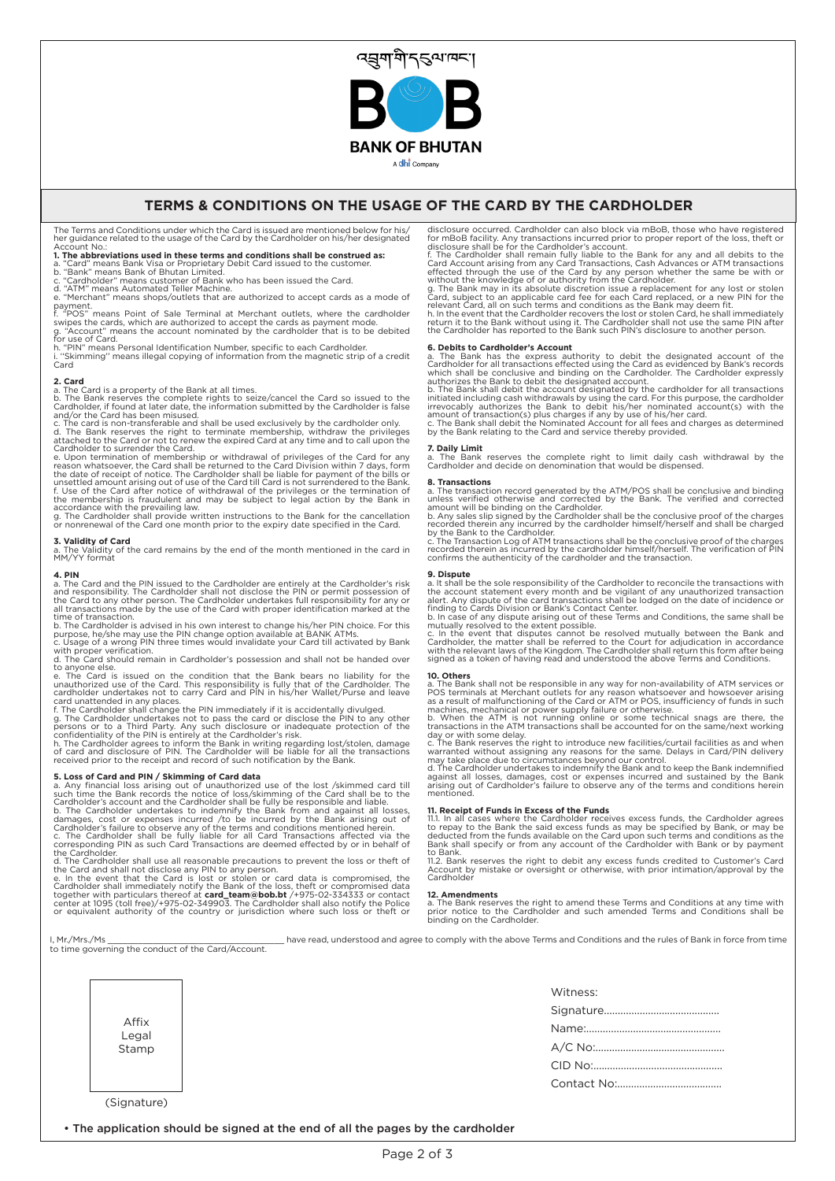

A dhi Company

## **TERMS & CONDITIONS ON THE USAGE OF THE CARD BY THE CARDHOLDER**

The Terms and Conditions under which the Card is issued are mentioned below for his/ her guidance related to the usage of the Card by the Cardholder on his/her designated

Account No.:<br>**1. The abbreviations used in these terms and conditions shall be construed as:**<br>a. "Card" means Bank Visa or Proprietary Debit Card issued to the customer.<br>b. "Bank" means Bank of Bhutan Limited.

c. "Cardholder" means customer of Bank who has been issued the Card. d. "ATM" means Automated Teller Machine.

e. "Merchant" means shops/outlets that are authorized to accept cards as a mode of

payment.<br>f. "POS" means Point of Sale Terminal at Merchant outlets, where the cardholder<br>swipes the cards, which are authorized to accept the cards as payment mode.<br>g. "Account" means the account nominated by the cardholde

for use of Card. h. "PIN" means Personal Identification Number, specific to each Cardholder. "Skimming" means illegal copying of information from the magnetic strip of a credit Card

**2. Card** a. The Card is a property of the Bank at all times.

b. The Bank reserves the complete rights to seize/cancel the Card so issued to the<br>Cardholder, if found at later date, the information submitted by the Cardholder is false<br>and/or the Card has been misused.<br>c. The card is n

e. Upon termination of membership or withdrawal of privileges of the Card for any<br>reason whatsoever, the Card shall be returned to the Card Division within 7 days, form<br>the date of receipt of notice. The Cardholder shall b

or nonrenewal of the Card one month prior to the expiry date specified in the Card.

**3. Validity of Card**<br>a. The Validity of the card remains by the end of the month mentioned in the card in<br>MM/YY format

**4. PIN**<br>and responsibility. The Cardholder shall not disclose the PIN or permit possession of<br>and responsibility. The Cardholder shall not disclose the PIN or permit possession of<br>the Card to any other person. The Cardhol

with proper verification. d. The Card should remain in Cardholder's possession and shall not be handed over

to anyone else.<br>e. The Card is issued on the condition that the Bank bears no liability for the<br>unauthorized use of the Card. This responsibility is fully that of the Cardholder. The<br>cardholder undertakes not to carry Card

card unattended in any places.<br>
5. The Cardholder shall change the PIN immediately if it is accidentally divulged.<br>
5. The Cardholder undertakes not to pass the card or disclose the PIN to any other<br>
persons or to a Third

**5. Loss of Card and PIM / Skimming of Card data**<br>
a. Any financial loss arising out of unauthorized use of the lost /skimmed card till<br>
such time the Bank records the notice of loss/skimming of the Card shall be to the<br>
C

disclosure occurred. Cardholder can also block via mBoB, those who have registered<br>for mBoB facility. Any transactions incurred prior to proper report of the loss, theft or<br>disclosure shall be for the Cardholder's account.

**6. Debits to Cardholder's Account**<br> **6. Debits to Cardholder's Account of the Card as evidenced by Bank's records**<br>
Cardholder for all transactions effected using the Card as evidenced by Bank's records<br>
which shall be co

by the Bank relating to the Card and service thereby provided.

# **7. Daily Limit**

a. The Bank reserves the complete right to limit daily cash withdrawal by the Cardholder and decide on denomination that would be dispensed.

**8. Transactions**<br> **8. Transactions**<br>
and be conclusive and binding<br>
andes verified otherwise and corrected by the Bank. The verified and corrected<br>
amount will be binding on the Cardholder.<br>
b. Any sales slip signed by th

confirms the authenticity of the cardholder and the transaction.

## **9. Dispute**

a. It shall be the sole responsibility of the Cardholder to reconcile the transactions with the account statement every month and be vigilant of any unauthorized transaction allert. Any dispute of the card transactions sha

**10. Others**<br>
The Bank shall not be responsible in any way for non-availability of ATM services or<br>
a. The Bank shall not be responsible in any way for non-availability of ATM services or<br>
POS terminals at Merchant outlets

**11. Receipt of Funds in Excess of the Funds**<br>11.1. In all cases where the Cardholder receives excess funds, the Cardholder agrees<br>to repay to the Bank the said excess funds as may be specified by Bank, or may be<br>deducted

to Bank. 11.2. Bank reserves the right to debit any excess funds credited to Customer's Card Account by mistake or oversight or otherwise, with prior intimation/approval by the Cardholder

## **12. Amendments**

a. The Bank reserves the right to amend these Terms and Conditions at any time with prior notice to the Cardholder and such amended Terms and Conditions shall be binding on the Cardholder.

I, Mr./Mrs./Ms \_\_\_\_\_\_\_\_\_\_\_\_\_\_\_\_\_\_\_\_\_\_\_\_\_\_\_\_\_\_\_\_\_\_have read, understood and agree to comply with the above Terms and Conditions and the rules of Bank in force from time to time governing the conduct of the Card/Account.

|                | Witness: |
|----------------|----------|
|                |          |
| Affix<br>Legal |          |
| Stamp          |          |
|                |          |
|                |          |

• The application should be signed at the end of all the pages by the cardholder